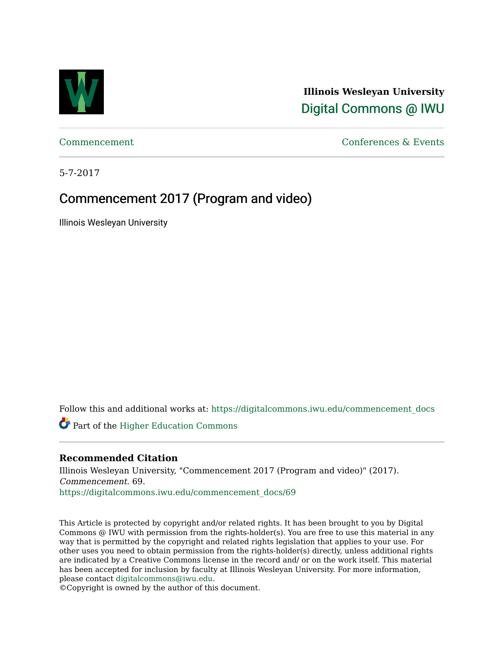

**Illinois Wesleyan University**  [Digital Commons @ IWU](https://digitalcommons.iwu.edu/) 

[Commencement](https://digitalcommons.iwu.edu/commencement_docs) [Conferences & Events](https://digitalcommons.iwu.edu/con_events) 

5-7-2017

# Commencement 2017 (Program and video)

Illinois Wesleyan University

Follow this and additional works at: [https://digitalcommons.iwu.edu/commencement\\_docs](https://digitalcommons.iwu.edu/commencement_docs?utm_source=digitalcommons.iwu.edu%2Fcommencement_docs%2F69&utm_medium=PDF&utm_campaign=PDFCoverPages) 

Part of the [Higher Education Commons](http://network.bepress.com/hgg/discipline/1245?utm_source=digitalcommons.iwu.edu%2Fcommencement_docs%2F69&utm_medium=PDF&utm_campaign=PDFCoverPages) 

### **Recommended Citation**

Illinois Wesleyan University, "Commencement 2017 (Program and video)" (2017). Commencement. 69. [https://digitalcommons.iwu.edu/commencement\\_docs/69](https://digitalcommons.iwu.edu/commencement_docs/69?utm_source=digitalcommons.iwu.edu%2Fcommencement_docs%2F69&utm_medium=PDF&utm_campaign=PDFCoverPages) 

This Article is protected by copyright and/or related rights. It has been brought to you by Digital Commons @ IWU with permission from the rights-holder(s). You are free to use this material in any way that is permitted by the copyright and related rights legislation that applies to your use. For other uses you need to obtain permission from the rights-holder(s) directly, unless additional rights are indicated by a Creative Commons license in the record and/ or on the work itself. This material has been accepted for inclusion by faculty at Illinois Wesleyan University. For more information, please contact [digitalcommons@iwu.edu.](mailto:digitalcommons@iwu.edu)

©Copyright is owned by the author of this document.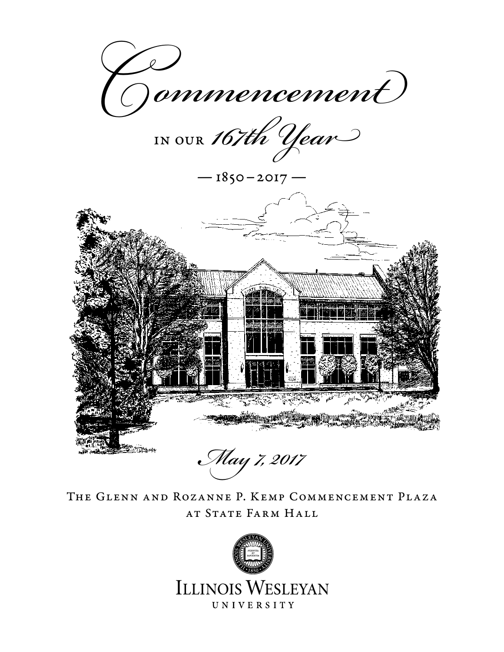

in our *167th Year*

 $-1850-2017-$ 



*May 7, 2017* 

The Glenn and Rozanne P. Kemp Commencement Plaza AT STATE FARM HALL

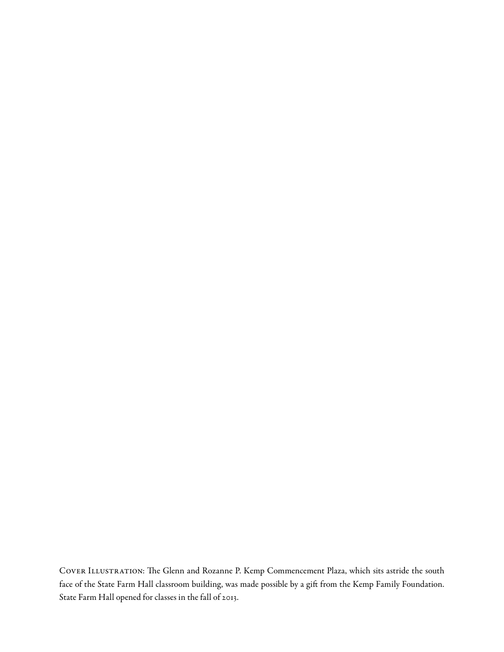Cover Illustration: The Glenn and Rozanne P. Kemp Commencement Plaza, which sits astride the south face of the State Farm Hall classroom building, was made possible by a gift from the Kemp Family Foundation. State Farm Hall opened for classes in the fall of 2013.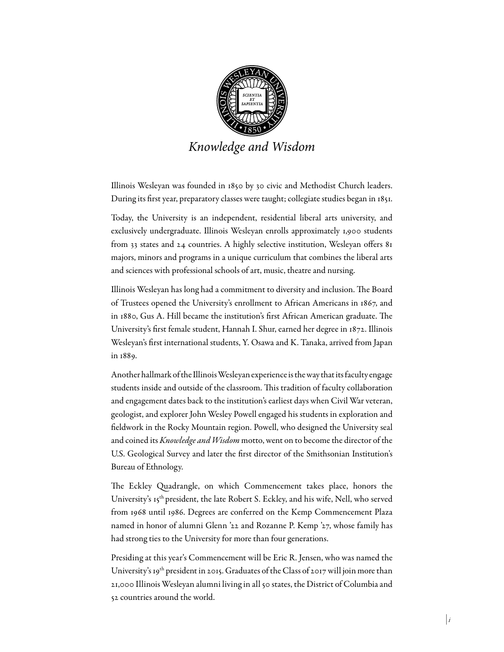

*Knowledge and Wisdom*

Illinois Wesleyan was founded in 1850 by 30 civic and Methodist Church leaders. During its first year, preparatory classes were taught; collegiate studies began in 1851.

Today, the University is an independent, residential liberal arts university, and exclusively undergraduate. Illinois Wesleyan enrolls approximately 1,900 students from 33 states and 24 countries. A highly selective institution, Wesleyan offers 81 majors, minors and programs in a unique curriculum that combines the liberal arts and sciences with professional schools of art, music, theatre and nursing.

Illinois Wesleyan has long had a commitment to diversity and inclusion. The Board of Trustees opened the University's enrollment to African Americans in 1867, and in 1880, Gus A. Hill became the institution's first African American graduate. The University's first female student, Hannah I. Shur, earned her degree in 1872. Illinois Wesleyan's first international students, Y. Osawa and K. Tanaka, arrived from Japan in 1889.

Another hallmark of the Illinois Wesleyan experience is the way that its faculty engage students inside and outside of the classroom. This tradition of faculty collaboration and engagement dates back to the institution's earliest days when Civil War veteran, geologist, and explorer John Wesley Powell engaged his students in exploration and fieldwork in the Rocky Mountain region. Powell, who designed the University seal and coined its *Knowledge and Wisdom* motto, went on to become the director of the U.S. Geological Survey and later the first director of the Smithsonian Institution's Bureau of Ethnology.

The Eckley Quadrangle, on which Commencement takes place, honors the University's 15<sup>th</sup> president, the late Robert S. Eckley, and his wife, Nell, who served from 1968 until 1986. Degrees are conferred on the Kemp Commencement Plaza named in honor of alumni Glenn '22 and Rozanne P. Kemp '27, whose family has had strong ties to the University for more than four generations.

Presiding at this year's Commencement will be Eric R. Jensen, who was named the University's 19<sup>th</sup> president in 2015. Graduates of the Class of 2017 will join more than 21,000 Illinois Wesleyan alumni living in all 50 states, the District of Columbia and 52 countries around the world.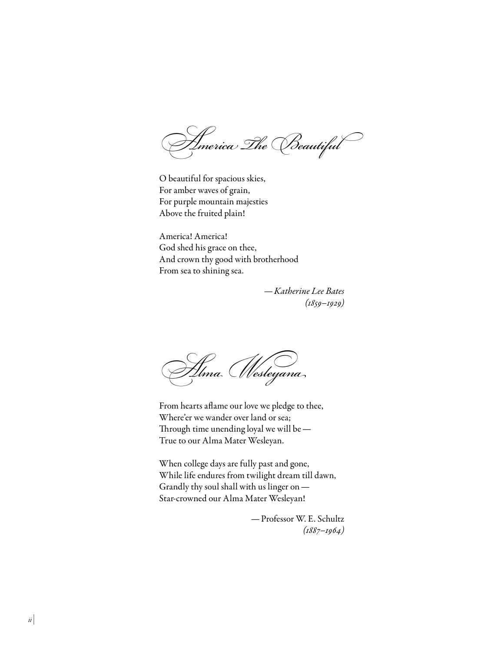*America The Beautiful*

O beautiful for spacious skies, For amber waves of grain, For purple mountain majesties Above the fruited plain!

America! America! God shed his grace on thee, And crown thy good with brotherhood From sea to shining sea.

> *—Katherine Lee Bates (1859–1929)*

*Alma Wesleyana*

From hearts aflame our love we pledge to thee, Where'er we wander over land or sea; Through time unending loyal we will be— True to our Alma Mater Wesleyan.

When college days are fully past and gone, While life endures from twilight dream till dawn, Grandly thy soul shall with us linger on— Star-crowned our Alma Mater Wesleyan!

> —Professor W. E. Schultz *(1887–1964)*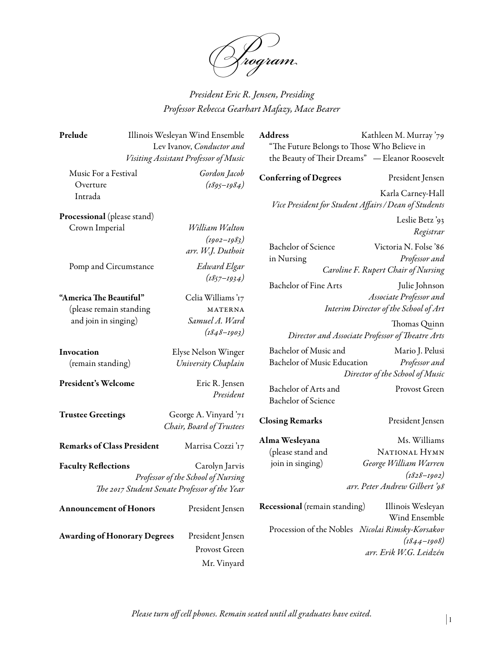

# *President Eric R. Jensen, Presiding Professor Rebecca Gearhart Mafazy, Mace Bearer*

| Prelude                                       | Illinois Wesleyan Wind Ensemble<br>Lev Ivanov, Conductor and<br>Visiting Assistant Professor of Music |                                                   | Address<br>Kathleen M. Murray '79<br>"The Future Belongs to Those Who Believe in<br>the Beauty of Their Dreams" - Eleanor Roosevelt |                                                  |
|-----------------------------------------------|-------------------------------------------------------------------------------------------------------|---------------------------------------------------|-------------------------------------------------------------------------------------------------------------------------------------|--------------------------------------------------|
| Music For a Festival                          |                                                                                                       | Gordon Jacob                                      | <b>Conferring of Degrees</b>                                                                                                        | President Jensen                                 |
| Overture                                      |                                                                                                       | $(1895 - 1984)$                                   |                                                                                                                                     | Karla Carney-Hall                                |
| Intrada                                       |                                                                                                       |                                                   | Vice President for Student Affairs / Dean of Students                                                                               |                                                  |
| <b>Processional</b> (please stand)            |                                                                                                       |                                                   |                                                                                                                                     | Leslie Betz'93                                   |
| Crown Imperial                                |                                                                                                       | William Walton                                    |                                                                                                                                     | Registrar                                        |
|                                               |                                                                                                       | $(1902 - 1983)$                                   |                                                                                                                                     |                                                  |
|                                               |                                                                                                       | arr. W.J. Duthoit                                 | <b>Bachelor</b> of Science<br>Victoria N. Folse '86                                                                                 |                                                  |
| Pomp and Circumstance                         |                                                                                                       | Edward Elgar                                      | in Nursing                                                                                                                          | Professor and                                    |
|                                               |                                                                                                       | $(1857 - 1934)$                                   |                                                                                                                                     | Caroline F. Rupert Chair of Nursing              |
|                                               |                                                                                                       |                                                   | <b>Bachelor of Fine Arts</b>                                                                                                        | Julie Johnson                                    |
| "America The Beautiful"                       |                                                                                                       | Celia Williams '17                                |                                                                                                                                     | Associate Professor and                          |
| (please remain standing                       |                                                                                                       | <b>MATERNA</b>                                    | Interim Director of the School of Art                                                                                               |                                                  |
| and join in singing)                          |                                                                                                       | Samuel A. Ward                                    | Thomas Quinn<br>Director and Associate Professor of Theatre Arts                                                                    |                                                  |
|                                               |                                                                                                       | $(1848 - 1903)$                                   |                                                                                                                                     |                                                  |
| Invocation                                    |                                                                                                       | Elyse Nelson Winger                               | Bachelor of Music and                                                                                                               | Mario J. Pelusi                                  |
| (remain standing)                             |                                                                                                       | University Chaplain                               | Bachelor of Music Education                                                                                                         | Professor and                                    |
|                                               |                                                                                                       |                                                   |                                                                                                                                     | Director of the School of Music                  |
| President's Welcome                           |                                                                                                       | Eric R. Jensen<br>President                       | Bachelor of Arts and<br><b>Bachelor</b> of Science                                                                                  | Provost Green                                    |
| <b>Trustee Greetings</b>                      |                                                                                                       | George A. Vinyard '71<br>Chair, Board of Trustees | <b>Closing Remarks</b>                                                                                                              | President Jensen                                 |
|                                               |                                                                                                       |                                                   | Alma Wesleyana                                                                                                                      | Ms. Williams                                     |
| <b>Remarks of Class President</b>             |                                                                                                       | Marrisa Cozzi '17                                 | (please stand and                                                                                                                   | NATIONAL HYMN                                    |
| <b>Faculty Reflections</b>                    |                                                                                                       | Carolyn Jarvis                                    | join in singing)                                                                                                                    | George William Warren                            |
| Professor of the School of Nursing            |                                                                                                       |                                                   |                                                                                                                                     | $(1828 - 1902)$                                  |
| The 2017 Student Senate Professor of the Year |                                                                                                       |                                                   |                                                                                                                                     | arr. Peter Andrew Gilbert'98                     |
| <b>Announcement of Honors</b>                 |                                                                                                       | President Jensen                                  | <b>Recessional</b> (remain standing)                                                                                                | Illinois Wesleyan<br>Wind Ensemble               |
|                                               |                                                                                                       |                                                   |                                                                                                                                     | Procession of the Nobles Nicolai Rimsky-Korsakov |
| <b>Awarding of Honorary Degrees</b>           |                                                                                                       | President Jensen                                  |                                                                                                                                     | $(1844 - 1908)$                                  |
|                                               |                                                                                                       | Provost Green                                     |                                                                                                                                     | arr. Erik W.G. Leidzén                           |
| Mr. Vinyard                                   |                                                                                                       |                                                   |                                                                                                                                     |                                                  |

*Please turn off cell phones. Remain seated until all graduates have exited.*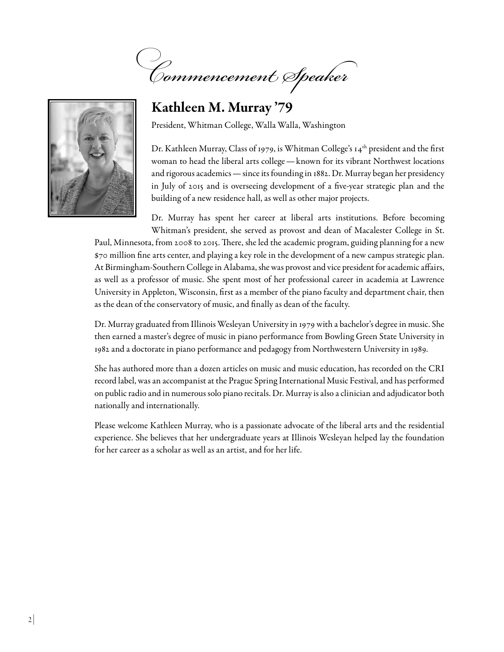*Commencement Speaker*



# Kathleen M. Murray '79

President, Whitman College, Walla Walla, Washington

Dr. Kathleen Murray, Class of 1979, is Whitman College's 14<sup>th</sup> president and the first woman to head the liberal arts college—known for its vibrant Northwest locations and rigorous academics—since its founding in 1882. Dr. Murray began her presidency in July of 2015 and is overseeing development of a five-year strategic plan and the building of a new residence hall, as well as other major projects.

Dr. Murray has spent her career at liberal arts institutions. Before becoming Whitman's president, she served as provost and dean of Macalester College in St.

Paul, Minnesota, from 2008 to 2015. There, she led the academic program, guiding planning for a new \$70 million fine arts center, and playing a key role in the development of a new campus strategic plan. At Birmingham-Southern College in Alabama, she was provost and vice president for academic affairs, as well as a professor of music. She spent most of her professional career in academia at Lawrence University in Appleton, Wisconsin, first as a member of the piano faculty and department chair, then as the dean of the conservatory of music, and finally as dean of the faculty.

Dr. Murray graduated from Illinois Wesleyan University in 1979 with a bachelor's degree in music. She then earned a master's degree of music in piano performance from Bowling Green State University in 1982 and a doctorate in piano performance and pedagogy from Northwestern University in 1989.

She has authored more than a dozen articles on music and music education, has recorded on the CRI record label, was an accompanist at the Prague Spring International Music Festival, and has performed on public radio and in numerous solo piano recitals. Dr. Murray is also a clinician and adjudicator both nationally and internationally.

Please welcome Kathleen Murray, who is a passionate advocate of the liberal arts and the residential experience. She believes that her undergraduate years at Illinois Wesleyan helped lay the foundation for her career as a scholar as well as an artist, and for her life.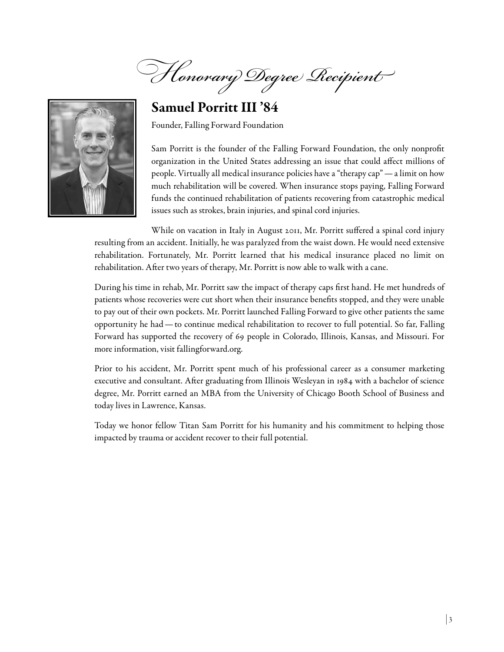*Honorary Degree Recipient*



# Samuel Porritt III '84

Founder, Falling Forward Foundation

Sam Porritt is the founder of the Falling Forward Foundation, the only nonprofit organization in the United States addressing an issue that could affect millions of people. Virtually all medical insurance policies have a "therapy cap"—a limit on how much rehabilitation will be covered. When insurance stops paying, Falling Forward funds the continued rehabilitation of patients recovering from catastrophic medical issues such as strokes, brain injuries, and spinal cord injuries.

While on vacation in Italy in August 2011, Mr. Porritt suffered a spinal cord injury resulting from an accident. Initially, he was paralyzed from the waist down. He would need extensive rehabilitation. Fortunately, Mr. Porritt learned that his medical insurance placed no limit on rehabilitation. After two years of therapy, Mr. Porritt is now able to walk with a cane.

During his time in rehab, Mr. Porritt saw the impact of therapy caps first hand. He met hundreds of patients whose recoveries were cut short when their insurance benefits stopped, and they were unable to pay out of their own pockets. Mr. Porritt launched Falling Forward to give other patients the same opportunity he had—to continue medical rehabilitation to recover to full potential. So far, Falling Forward has supported the recovery of 69 people in Colorado, Illinois, Kansas, and Missouri. For more information, visit fallingforward.org.

Prior to his accident, Mr. Porritt spent much of his professional career as a consumer marketing executive and consultant. After graduating from Illinois Wesleyan in 1984 with a bachelor of science degree, Mr. Porritt earned an MBA from the University of Chicago Booth School of Business and today lives in Lawrence, Kansas.

Today we honor fellow Titan Sam Porritt for his humanity and his commitment to helping those impacted by trauma or accident recover to their full potential.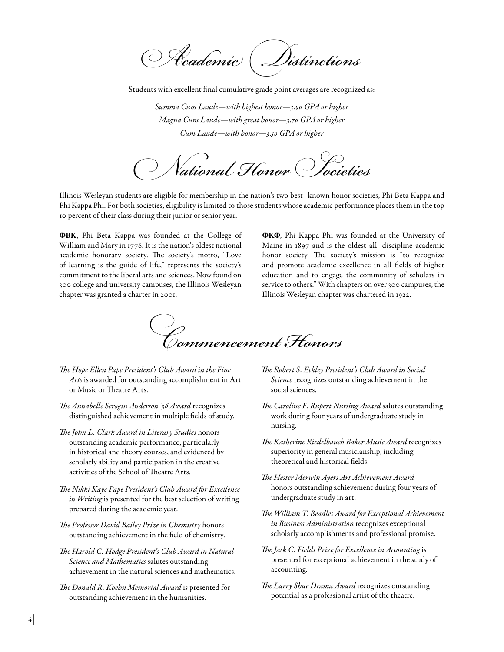*Academic Distinctions*

Students with excellent final cumulative grade point averages are recognized as:

*Summa Cum Laude—with highest honor—3.90 GPA or higher Magna Cum Laude—with great honor—3.70 GPA or higher Cum Laude—with honor—3.50 GPA or higher*

*National Honor Societies*

Illinois Wesleyan students are eligible for membership in the nation's two best–known honor societies, Phi Beta Kappa and Phi Kappa Phi. For both societies, eligibility is limited to those students whose academic performance places them in the top 10 percent of their class during their junior or senior year.

ΦΒΚ, Phi Beta Kappa was founded at the College of William and Mary in 1776. It is the nation's oldest national academic honorary society. The society's motto, "Love of learning is the guide of life," represents the society's commitment to the liberal arts and sciences. Now found on 300 college and university campuses, the Illinois Wesleyan chapter was granted a charter in 2001.

ΦΚΦ, Phi Kappa Phi was founded at the University of Maine in 1897 and is the oldest all–discipline academic honor society. The society's mission is "to recognize and promote academic excellence in all fields of higher education and to engage the community of scholars in service to others." With chapters on over 300 campuses, the Illinois Wesleyan chapter was chartered in 1922.



- *The Hope Ellen Pape President's Club Award in the Fine Arts* is awarded for outstanding accomplishment in Art or Music or Theatre Arts.
- *The Annabelle Scrogin Anderson '36 Award* recognizes distinguished achievement in multiple fields of study.
- *The John L. Clark Award in Literary Studies* honors outstanding academic performance, particularly in historical and theory courses, and evidenced by scholarly ability and participation in the creative activities of the School of Theatre Arts.
- *The Nikki Kaye Pape President's Club Award for Excellence in Writing* is presented for the best selection of writing prepared during the academic year.
- *The Professor David Bailey Prize in Chemistry* honors outstanding achievement in the field of chemistry.
- *The Harold C. Hodge President's Club Award in Natural Science and Mathematics* salutes outstanding achievement in the natural sciences and mathematics.
- *The Donald R. Koehn Memorial Award* is presented for outstanding achievement in the humanities.
- *The Robert S. Eckley President's Club Award in Social Science* recognizes outstanding achievement in the social sciences.
- *The Caroline F. Rupert Nursing Award* salutes outstanding work during four years of undergraduate study in nursing.
- *The Katherine Riedelbauch Baker Music Award* recognizes superiority in general musicianship, including theoretical and historical fields.
- *The Hester Merwin Ayers Art Achievement Award*  honors outstanding achievement during four years of undergraduate study in art.
- *The William T. Beadles Award for Exceptional Achievement in Business Administration* recognizes exceptional scholarly accomplishments and professional promise.
- *The Jack C. Fields Prize for Excellence in Accounting* is presented for exceptional achievement in the study of accounting.
- *The Larry Shue Drama Award* recognizes outstanding potential as a professional artist of the theatre.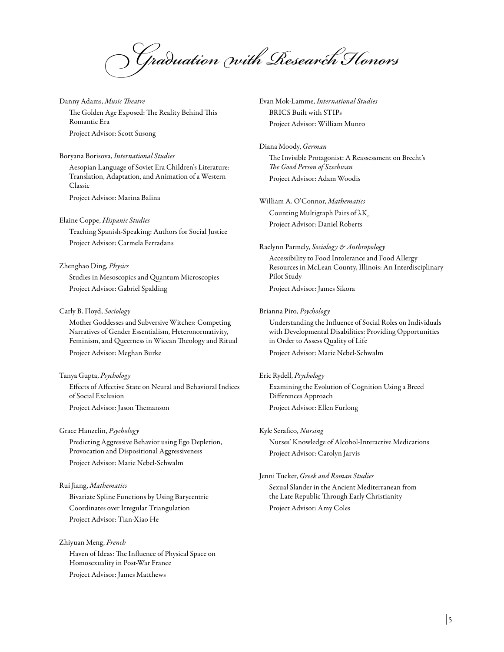*Graduation with Research Honors*

Danny Adams, *Music Theatre* The Golden Age Exposed: The Reality Behind This Romantic Era Project Advisor: Scott Susong

Boryana Borisova, *International Studies* Aesopian Language of Soviet Era Children's Literature: Translation, Adaptation, and Animation of a Western Classic

Project Advisor: Marina Balina

#### Elaine Coppe, *Hispanic Studies*

Teaching Spanish-Speaking: Authors for Social Justice Project Advisor: Carmela Ferradans

#### Zhenghao Ding, *Physics*

Studies in Mesoscopics and Quantum Microscopies Project Advisor: Gabriel Spalding

#### Carly B. Floyd, *Sociology*

Mother Goddesses and Subversive Witches: Competing Narratives of Gender Essentialism, Heteronormativity, Feminism, and Queerness in Wiccan Theology and Ritual Project Advisor: Meghan Burke

#### Tanya Gupta, *Psychology*

Effects of Affective State on Neural and Behavioral Indices of Social Exclusion Project Advisor: Jason Themanson

#### Grace Hanzelin, *Psychology*

Predicting Aggressive Behavior using Ego Depletion, Provocation and Dispositional Aggressiveness Project Advisor: Marie Nebel-Schwalm

#### Rui Jiang, *Mathematics*

Bivariate Spline Functions by Using Barycentric Coordinates over Irregular Triangulation Project Advisor: Tian-Xiao He

#### Zhiyuan Meng, *French*

Haven of Ideas: The Influence of Physical Space on Homosexuality in Post-War France Project Advisor: James Matthews

Evan Mok-Lamme, *International Studies*  BRICS Built with STIPs Project Advisor: William Munro

Diana Moody, *German* The Invisible Protagonist: A Reassessment on Brecht's *The Good Person of Szechwan* Project Advisor: Adam Woodis

William A. O'Connor, *Mathematics* Counting Multigraph Pairs of  $\lambda K$ <sub>n</sub> Project Advisor: Daniel Roberts

Raelynn Parmely, *Sociology & Anthropology*

Accessibility to Food Intolerance and Food Allergy Resources in McLean County, Illinois: An Interdisciplinary Pilot Study Project Advisor: James Sikora

## Brianna Piro, *Psychology*

Understanding the Influence of Social Roles on Individuals with Developmental Disabilities: Providing Opportunities in Order to Assess Quality of Life

Project Advisor: Marie Nebel-Schwalm

#### Eric Rydell, *Psychology*

Examining the Evolution of Cognition Using a Breed Differences Approach Project Advisor: Ellen Furlong

#### Kyle Serafico, *Nursing*

Nurses' Knowledge of Alcohol-Interactive Medications Project Advisor: Carolyn Jarvis

#### Jenni Tucker, *Greek and Roman Studies*

Sexual Slander in the Ancient Mediterranean from the Late Republic Through Early Christianity Project Advisor: Amy Coles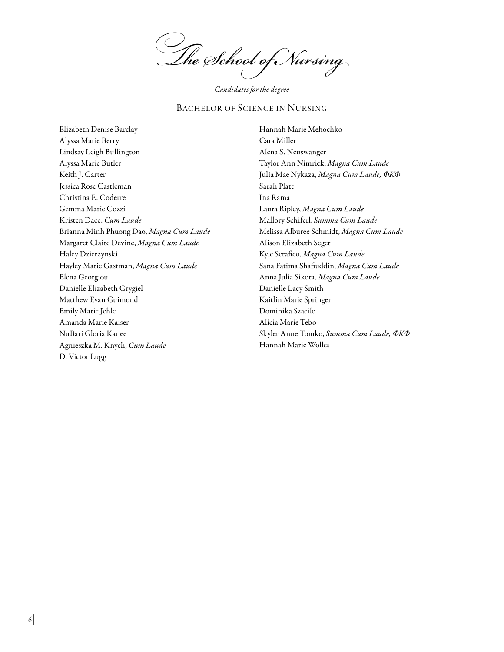*The School of Nursing*

*Candidates for the degree*

### Bachelor of Science in Nursing

Elizabeth Denise Barclay Alyssa Marie Berry Lindsay Leigh Bullington Alyssa Marie Butler Keith J. Carter Jessica Rose Castleman Christina E. Coderre Gemma Marie Cozzi Kristen Dace, *Cum Laude* Brianna Minh Phuong Dao, *Magna Cum Laude* Margaret Claire Devine, *Magna Cum Laude* Haley Dzierzynski Hayley Marie Gastman, *Magna Cum Laude* Elena Georgiou Danielle Elizabeth Grygiel Matthew Evan Guimond Emily Marie Jehle Amanda Marie Kaiser NuBari Gloria Kanee Agnieszka M. Knych, *Cum Laude* D. Victor Lugg

Hannah Marie Mehochko Cara Miller Alena S. Neuswanger Taylor Ann Nimrick, *Magna Cum Laude* Julia Mae Nykaza, *Magna Cum Laude, ΦΚΦ* Sarah Platt Ina Rama Laura Ripley, *Magna Cum Laude* Mallory Schiferl, *Summa Cum Laude* Melissa Alburee Schmidt, *Magna Cum Laude* Alison Elizabeth Seger Kyle Serafico, *Magna Cum Laude* Sana Fatima Shafiuddin, *Magna Cum Laude* Anna Julia Sikora, *Magna Cum Laude* Danielle Lacy Smith Kaitlin Marie Springer Dominika Szacilo Alicia Marie Tebo Skyler Anne Tomko, *Summa Cum Laude, ΦΚΦ* Hannah Marie Wolles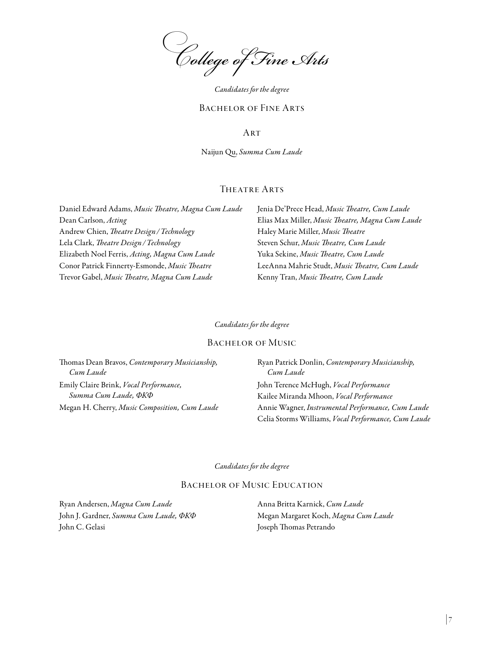*College of Fine Arts*

*Candidates for the degree*

#### Bachelor of Fine Arts

Art

Naijun Qu, *Summa Cum Laude*

### THEATRE ARTS

Daniel Edward Adams, *Music Theatre, Magna Cum Laude* Dean Carlson, *Acting* Andrew Chien, *Theatre Design/Technology* Lela Clark, *Theatre Design/Technology* Elizabeth Noel Ferris, *Acting, Magna Cum Laude* Conor Patrick Finnerty-Esmonde, *Music Theatre* Trevor Gabel, *Music Theatre, Magna Cum Laude*

Jenia De'Prece Head, *Music Theatre, Cum Laude* Elias Max Miller, *Music Theatre, Magna Cum Laude* Haley Marie Miller, *Music Theatre* Steven Schur, *Music Theatre, Cum Laude* Yuka Sekine, *Music Theatre, Cum Laude* LeeAnna Mahrie Studt, *Music Theatre, Cum Laude* Kenny Tran, *Music Theatre, Cum Laude*

#### *Candidates for the degree*

#### Bachelor of Music

Thomas Dean Bravos, *Contemporary Musicianship, Cum Laude* Emily Claire Brink, *Vocal Performance, Summa Cum Laude, ΦΚΦ* Megan H. Cherry, *Music Composition, Cum Laude* Ryan Patrick Donlin, *Contemporary Musicianship, Cum Laude* John Terence McHugh, *Vocal Performance* Kailee Miranda Mhoon, *Vocal Performance* Annie Wagner, *Instrumental Performance, Cum Laude* Celia Storms Williams, *Vocal Performance, Cum Laude*

#### *Candidates for the degree*

#### BACHELOR OF MUSIC EDUCATION

Ryan Andersen, *Magna Cum Laude* John J. Gardner, *Summa Cum Laude, ΦΚΦ* John C. Gelasi

Anna Britta Karnick, *Cum Laude* Megan Margaret Koch, *Magna Cum Laude* Joseph Thomas Petrando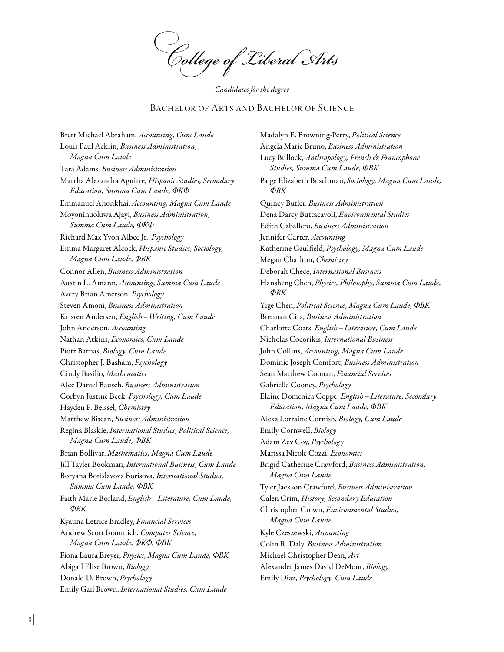*College of Liberal Arts*

*Candidates for the degree*

#### Bachelor of Arts and Bachelor of Science

Brett Michael Abraham, *Accounting, Cum Laude* Louis Paul Acklin, *Business Administration, Magna Cum Laude* Tara Adams, *Business Administration* Martha Alexandra Aguirre, *Hispanic Studies, Secondary Education, Summa Cum Laude, ΦΚΦ* Emmanuel Ahonkhai, *Accounting, Magna Cum Laude* Moyoninuoluwa Ajayi, *Business Administration, Summa Cum Laude, ΦΚΦ* Richard Max Yvon Albee Jr., *Psychology* Emma Margaret Alcock, *Hispanic Studies, Sociology, Magna Cum Laude, ΦΒΚ* Connor Allen, *Business Administration* Austin L. Amann, *Accounting, Summa Cum Laude* Avery Brian Amerson, *Psychology* Steven Amoni, *Business Administration* Kristen Andersen, *English–Writing, Cum Laude* John Anderson, *Accounting* Nathan Atkins, *Economics, Cum Laude* Piotr Barnas, *Biology, Cum Laude* Christopher J. Basham, *Psychology* Cindy Basilio, *Mathematics* Alec Daniel Bausch, *Business Administration* Corbyn Justine Beck, *Psychology, Cum Laude* Hayden F. Beissel, *Chemistry* Matthew Biscan, *Business Administration* Regina Blaskie, *International Studies, Political Science, Magna Cum Laude, ΦΒΚ* Brian Bollivar, *Mathematics, Magna Cum Laude* Jill Tayler Bookman, *International Business, Cum Laude* Boryana Borislavova Borisova, *International Studies, Summa Cum Laude, ΦΒΚ* Faith Marie Borland, *English–Literature, Cum Laude, ΦΒΚ* Kyauna Letrice Bradley, *Financial Services* Andrew Scott Braunlich, *Computer Science, Magna Cum Laude, ΦΚΦ, ΦΒΚ* Fiona Laura Breyer, *Physics, Magna Cum Laude, ΦΒΚ* Abigail Elise Brown, *Biology* Donald D. Brown, *Psychology* Emily Gail Brown, *International Studies, Cum Laude*

Madalyn E. Browning-Perry, *Political Science* Angela Marie Bruno, *Business Administration* Lucy Bullock, *Anthropology, French & Francophone Studies, Summa Cum Laude, ΦΒΚ* Paige Elizabeth Buschman, *Sociology, Magna Cum Laude, ΦΒΚ* Quincy Butler, *Business Administration* Dena Darcy Buttacavoli, *Environmental Studies* Edith Caballero, *Business Administration* Jennifer Carter, *Accounting* Katherine Caulfield, *Psychology, Magna Cum Laude* Megan Charlton, *Chemistry* Deborah Chece, *International Business* Hansheng Chen, *Physics, Philosophy, Summa Cum Laude, ΦΒΚ* Yige Chen, *Political Science, Magna Cum Laude, ΦΒΚ* Brennan Cira, *Business Administration* Charlotte Coats, *English–Literature, Cum Laude* Nicholas Cocorikis, *International Business* John Collins, *Accounting, Magna Cum Laude* Dominic Joseph Comfort, *Business Administration* Sean Matthew Coonan, *Financial Services* Gabriella Cooney, *Psychology* Elaine Domenica Coppe, *English–Literature, Secondary Education, Magna Cum Laude, ΦΒΚ* Alexa Lorraine Cornish, *Biology, Cum Laude* Emily Cornwell, *Biology* Adam Zev Coy, *Psychology* Marissa Nicole Cozzi, *Economics* Brigid Catherine Crawford, *Business Administration, Magna Cum Laude* Tyler Jackson Crawford, *Business Administration* Calen Crim, *History, Secondary Education* Christopher Crown, *Environmental Studies, Magna Cum Laude* Kyle Czeszewski, *Accounting* Colin R. Daly, *Business Administration* Michael Christopher Dean, *Art* Alexander James David DeMont, *Biology* Emily Diaz, *Psychology, Cum Laude*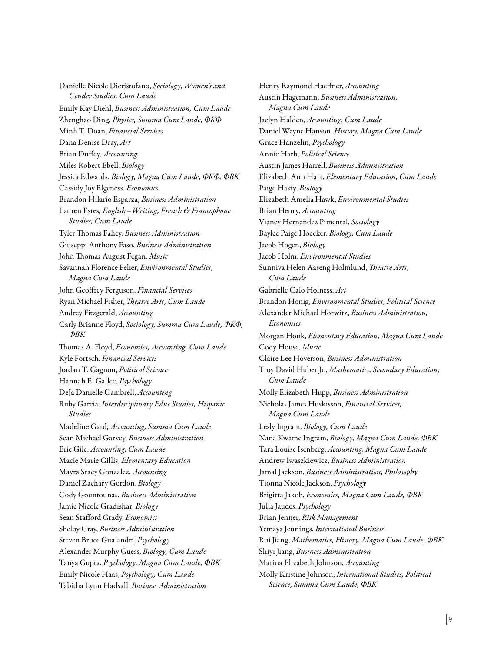Danielle Nicole Dicristofano, *Sociology, Women's and Gender Studies, Cum Laude* Emily Kay Diehl, *Business Administration, Cum Laude* Zhenghao Ding, *Physics, Summa Cum Laude, ΦΚΦ* Minh T. Doan, *Financial Services* Dana Denise Dray, *Art* Brian Duffey, *Accounting* Miles Robert Ebell, *Biology* Jessica Edwards, *Biology, Magna Cum Laude, ΦΚΦ, ΦΒΚ* Cassidy Joy Elgeness, *Economics* Brandon Hilario Esparza, *Business Administration* Lauren Estes, *English–Writing, French & Francophone Studies, Cum Laude* Tyler Thomas Fahey, *Business Administration* Giuseppi Anthony Faso, *Business Administration* John Thomas August Fegan, *Music* Savannah Florence Feher, *Environmental Studies, Magna Cum Laude* John Geoffrey Ferguson, *Financial Services* Ryan Michael Fisher, *Theatre Arts, Cum Laude* Audrey Fitzgerald, *Accounting* Carly Brianne Floyd, *Sociology, Summa Cum Laude, ΦΚΦ, ΦΒΚ* Thomas A. Floyd, *Economics, Accounting, Cum Laude* Kyle Fortsch, *Financial Services* Jordan T. Gagnon, *Political Science* Hannah E. Gallee, *Psychology* DeJa Danielle Gambrell, *Accounting* Ruby Garcia, *Interdisciplinary Educ Studies, Hispanic Studies* Madeline Gard, *Accounting, Summa Cum Laude* Sean Michael Garvey, *Business Administration* Eric Gile, *Accounting, Cum Laude* Macie Marie Gillis, *Elementary Education* Mayra Stacy Gonzalez, *Accounting* Daniel Zachary Gordon, *Biology* Cody Gountounas, *Business Administration* Jamie Nicole Gradishar, *Biology* Sean Stafford Grady, *Economics* Shelby Gray, *Business Administration* Steven Bruce Gualandri, *Psychology* Alexander Murphy Guess, *Biology, Cum Laude* Tanya Gupta, *Psychology, Magna Cum Laude, ΦΒΚ* Emily Nicole Haas, *Psychology, Cum Laude* Tabitha Lynn Hadsall, *Business Administration*

Henry Raymond Haeffner, *Accounting* Austin Hagemann, *Business Administration, Magna Cum Laude* Jaclyn Halden, *Accounting, Cum Laude* Daniel Wayne Hanson, *History, Magna Cum Laude* Grace Hanzelin, *Psychology* Annie Harb, *Political Science* Austin James Harrell, *Business Administration* Elizabeth Ann Hart, *Elementary Education, Cum Laude* Paige Hasty, *Biology* Elizabeth Amelia Hawk, *Environmental Studies* Brian Henry, *Accounting* Vianey Hernandez Pimental, *Sociology* Baylee Paige Hoecker, *Biology, Cum Laude* Jacob Hogen, *Biology* Jacob Holm, *Environmental Studies* Sunniva Helen Aaseng Holmlund, *Theatre Arts, Cum Laude* Gabrielle Calo Holness, *Art* Brandon Honig, *Environmental Studies, Political Science* Alexander Michael Horwitz, *Business Administration, Economics* Morgan Houk, *Elementary Education, Magna Cum Laude* Cody House, *Music* Claire Lee Hoverson, *Business Administration* Troy David Huber Jr., *Mathematics, Secondary Education, Cum Laude* Molly Elizabeth Hupp, *Business Administration* Nicholas James Huskisson, *Financial Services, Magna Cum Laude* Lesly Ingram, *Biology, Cum Laude* Nana Kwame Ingram, *Biology, Magna Cum Laude, ΦΒΚ* Tara Louise Isenberg, *Accounting, Magna Cum Laude* Andrew Iwaszkiewicz, *Business Administration* Jamal Jackson, *Business Administration, Philosophy* Tionna Nicole Jackson, *Psychology* Brigitta Jakob, *Economics, Magna Cum Laude, ΦΒΚ* Julia Jaudes, *Psychology* Brian Jenner, *Risk Management* Yemaya Jennings, *International Business* Rui Jiang, *Mathematics, History, Magna Cum Laude, ΦΒΚ* Shiyi Jiang, *Business Administration* Marina Elizabeth Johnson, *Accounting* Molly Kristine Johnson, *International Studies, Political Science, Summa Cum Laude, ΦΒΚ*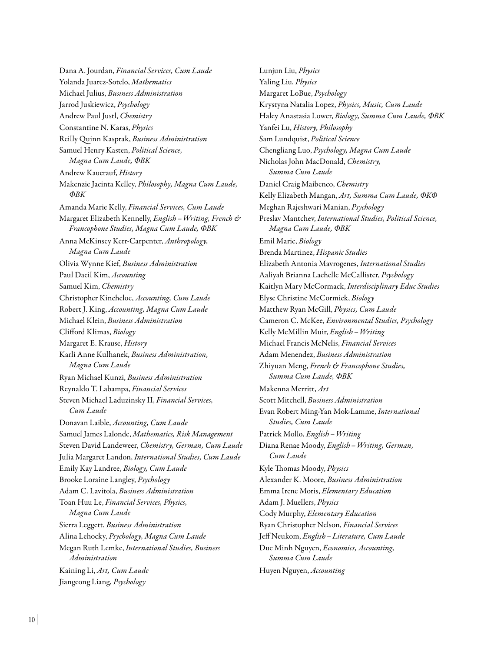Dana A. Jourdan, *Financial Services, Cum Laude* Yolanda Juarez-Sotelo, *Mathematics* Michael Julius, *Business Administration* Jarrod Juskiewicz, *Psychology* Andrew Paul Justl, *Chemistry* Constantine N. Karas, *Physics* Reilly Quinn Kasprak, *Business Administration* Samuel Henry Kasten, *Political Science, Magna Cum Laude, ΦΒΚ* Andrew Kauerauf, *History* Makenzie Jacinta Kelley, *Philosophy, Magna Cum Laude, ΦΒΚ* Amanda Marie Kelly, *Financial Services, Cum Laude* Margaret Elizabeth Kennelly, *English–Writing, French & Francophone Studies, Magna Cum Laude, ΦΒΚ* Anna McKinsey Kerr-Carpenter, *Anthropology, Magna Cum Laude* Olivia Wynne Kief, *Business Administration* Paul Daeil Kim, *Accounting* Samuel Kim, *Chemistry* Christopher Kincheloe, *Accounting, Cum Laude* Robert J. King, *Accounting, Magna Cum Laude* Michael Klein, *Business Administration* Clifford Klimas, *Biology* Margaret E. Krause, *History* Karli Anne Kulhanek, *Business Administration, Magna Cum Laude* Ryan Michael Kunzi, *Business Administration* Reynaldo T. Labampa, *Financial Services* Steven Michael Laduzinsky II, *Financial Services, Cum Laude* Donavan Laible, *Accounting, Cum Laude* Samuel James Lalonde, *Mathematics, Risk Management* Steven David Landeweer, *Chemistry, German, Cum Laude* Julia Margaret Landon, *International Studies, Cum Laude* Emily Kay Landree, *Biology, Cum Laude* Brooke Loraine Langley, *Psychology* Adam C. Lavitola, *Business Administration* Toan Huu Le, *Financial Services, Physics, Magna Cum Laude* Sierra Leggett, *Business Administration* Alina Lehocky, *Psychology, Magna Cum Laude* Megan Ruth Lemke, *International Studies, Business Administration* Kaining Li, *Art, Cum Laude* Jiangcong Liang, *Psychology*

Lunjun Liu, *Physics* Yaling Liu, *Physics* Margaret LoBue, *Psychology* Krystyna Natalia Lopez, *Physics, Music, Cum Laude* Haley Anastasia Lower, *Biology, Summa Cum Laude, ΦΒΚ* Yanfei Lu, *History, Philosophy* Sam Lundquist, *Political Science* Chengliang Luo, *Psychology, Magna Cum Laude* Nicholas John MacDonald, *Chemistry, Summa Cum Laude* Daniel Craig Maibenco, *Chemistry* Kelly Elizabeth Mangan, *Art, Summa Cum Laude, ΦΚΦ* Meghan Rajeshwari Manian, *Psychology* Preslav Mantchev, *International Studies, Political Science, Magna Cum Laude, ΦΒΚ* Emil Maric, *Biology* Brenda Martinez, *Hispanic Studies* Elizabeth Antonia Mavrogenes, *International Studies* Aaliyah Brianna Lachelle McCallister, *Psychology* Kaitlyn Mary McCormack, *Interdisciplinary Educ Studies* Elyse Christine McCormick, *Biology* Matthew Ryan McGill, *Physics, Cum Laude* Cameron C. McKee, *Environmental Studies, Psychology* Kelly McMillin Muir, *English–Writing* Michael Francis McNelis, *Financial Services* Adam Menendez, *Business Administration* Zhiyuan Meng, *French & Francophone Studies, Summa Cum Laude, ΦΒΚ* Makenna Merritt, *Art* Scott Mitchell, *Business Administration* Evan Robert Ming-Yan Mok-Lamme, *International Studies, Cum Laude* Patrick Mollo, *English–Writing* Diana Renae Moody, *English–Writing, German, Cum Laude* Kyle Thomas Moody, *Physics* Alexander K. Moore, *Business Administration* Emma Irene Moris, *Elementary Education* Adam J. Muellers, *Physics* Cody Murphy, *Elementary Education* Ryan Christopher Nelson, *Financial Services* Jeff Neukom, *English–Literature, Cum Laude* Duc Minh Nguyen, *Economics, Accounting, Summa Cum Laude* Huyen Nguyen, *Accounting*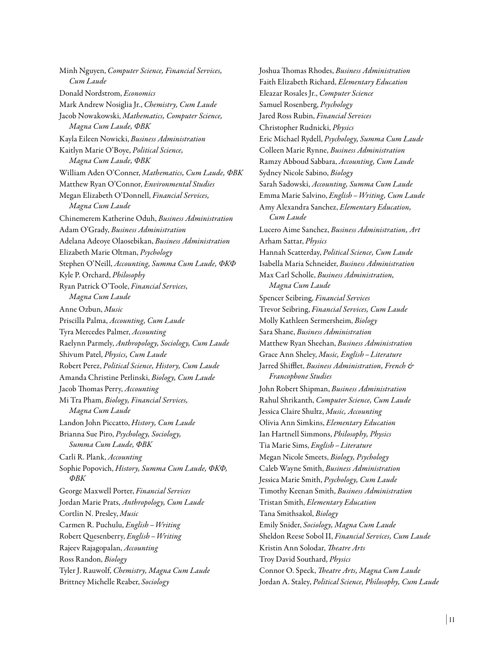Minh Nguyen, *Computer Science, Financial Services, Cum Laude* Donald Nordstrom, *Economics* Mark Andrew Nosiglia Jr., *Chemistry, Cum Laude* Jacob Nowakowski, *Mathematics, Computer Science, Magna Cum Laude, ΦΒΚ* Kayla Eileen Nowicki, *Business Administration* Kaitlyn Marie O'Boye, *Political Science, Magna Cum Laude, ΦΒΚ* William Aden O'Conner, *Mathematics, Cum Laude, ΦΒΚ* Matthew Ryan O'Connor, *Environmental Studies* Megan Elizabeth O'Donnell, *Financial Services, Magna Cum Laude* Chinemerem Katherine Oduh, *Business Administration* Adam O'Grady, *Business Administration* Adelana Adeoye Olaosebikan, *Business Administration* Elizabeth Marie Oltman, *Psychology* Stephen O'Neill, *Accounting, Summa Cum Laude, ΦΚΦ* Kyle P. Orchard, *Philosophy* Ryan Patrick O'Toole, *Financial Services, Magna Cum Laude* Anne Ozbun, *Music* Priscilla Palma, *Accounting, Cum Laude* Tyra Mercedes Palmer, *Accounting* Raelynn Parmely, *Anthropology, Sociology, Cum Laude* Shivum Patel, *Physics, Cum Laude* Robert Perez, *Political Science, History, Cum Laude* Amanda Christine Perlinski, *Biology, Cum Laude* Jacob Thomas Perry, *Accounting* Mi Tra Pham, *Biology, Financial Services, Magna Cum Laude* Landon John Piccatto, *History, Cum Laude* Brianna Sue Piro, *Psychology, Sociology, Summa Cum Laude, ΦΒΚ* Carli R. Plank, *Accounting* Sophie Popovich, *History, Summa Cum Laude, ΦΚΦ, ΦΒΚ* George Maxwell Porter, *Financial Services* Jordan Marie Prats, *Anthropology, Cum Laude* Cortlin N. Presley, *Music* Carmen R. Puchulu, *English–Writing* Robert Quesenberry, *English–Writing* Rajeev Rajagopalan, *Accounting* Ross Randon, *Biology* Tyler J. Rauwolf, *Chemistry, Magna Cum Laude* Brittney Michelle Reaber, *Sociology*

Joshua Thomas Rhodes, *Business Administration* Faith Elizabeth Richard, *Elementary Education* Eleazar Rosales Jr., *Computer Science* Samuel Rosenberg, *Psychology* Jared Ross Rubin, *Financial Services* Christopher Rudnicki, *Physics* Eric Michael Rydell, *Psychology, Summa Cum Laude* Colleen Marie Rynne, *Business Administration* Ramzy Abboud Sabbara, *Accounting, Cum Laude* Sydney Nicole Sabino, *Biology* Sarah Sadowski, *Accounting, Summa Cum Laude* Emma Marie Salvino, *English–Writing, Cum Laude* Amy Alexandra Sanchez, *Elementary Education, Cum Laude* Lucero Aime Sanchez, *Business Administration, Art* Arham Sattar, *Physics* Hannah Scatterday, *Political Science, Cum Laude* Isabella Maria Schneider, *Business Administration* Max Carl Scholle, *Business Administration, Magna Cum Laude* Spencer Seibring, *Financial Services* Trevor Seibring, *Financial Services, Cum Laude* Molly Kathleen Sermersheim, *Biology* Sara Shane, *Business Administration* Matthew Ryan Sheehan, *Business Administration* Grace Ann Sheley, *Music, English–Literature* Jarred Shifflet, *Business Administration, French & Francophone Studies* John Robert Shipman, *Business Administration* Rahul Shrikanth, *Computer Science, Cum Laude* Jessica Claire Shultz, *Music, Accounting* Olivia Ann Simkins, *Elementary Education* Ian Hartnell Simmons, *Philosophy, Physics* Tia Marie Sims, *English–Literature* Megan Nicole Smeets, *Biology, Psychology* Caleb Wayne Smith, *Business Administration* Jessica Marie Smith, *Psychology, Cum Laude* Timothy Keenan Smith, *Business Administration* Tristan Smith, *Elementary Education* Tana Smithsakol, *Biology* Emily Snider, *Sociology, Magna Cum Laude* Sheldon Reese Sobol II, *Financial Services, Cum Laude* Kristin Ann Solodar, *Theatre Arts* Troy David Southard, *Physics* Connor O. Speck, *Theatre Arts, Magna Cum Laude* Jordan A. Staley, *Political Science, Philosophy, Cum Laude*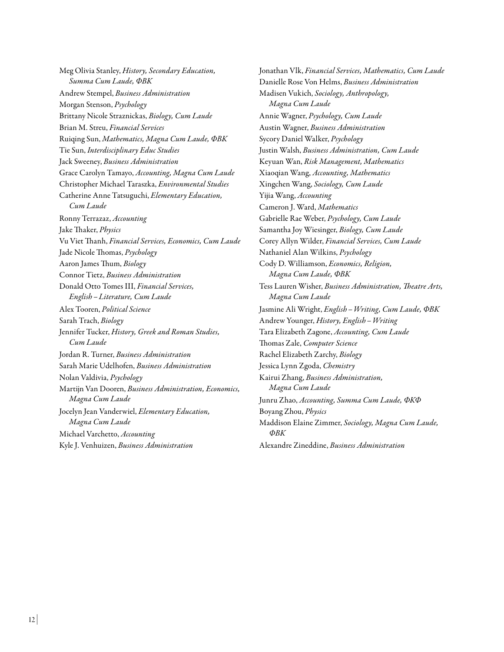Meg Olivia Stanley, *History, Secondary Education, Summa Cum Laude, ΦΒΚ* Andrew Stempel, *Business Administration* Morgan Stenson, *Psychology* Brittany Nicole Straznickas, *Biology, Cum Laude* Brian M. Streu, *Financial Services* Ruiqing Sun, *Mathematics, Magna Cum Laude, ΦΒΚ* Tie Sun, *Interdisciplinary Educ Studies* Jack Sweeney, *Business Administration* Grace Carolyn Tamayo, *Accounting, Magna Cum Laude* Christopher Michael Taraszka, *Environmental Studies* Catherine Anne Tatsuguchi, *Elementary Education, Cum Laude* Ronny Terrazaz, *Accounting* Jake Thaker, *Physics* Vu Viet Thanh, *Financial Services, Economics, Cum Laude* Jade Nicole Thomas, *Psychology* Aaron James Thum, *Biology* Connor Tietz, *Business Administration* Donald Otto Tomes III, *Financial Services, English–Literature, Cum Laude* Alex Tooren, *Political Science* Sarah Trach, *Biology* Jennifer Tucker, *History, Greek and Roman Studies, Cum Laude* Jordan R. Turner, *Business Administration* Sarah Marie Udelhofen, *Business Administration* Nolan Valdivia, *Psychology* Martijn Van Dooren, *Business Administration, Economics, Magna Cum Laude* Jocelyn Jean Vanderwiel, *Elementary Education, Magna Cum Laude* Michael Varchetto, *Accounting* Kyle J. Venhuizen, *Business Administration*

Jonathan Vlk, *Financial Services, Mathematics, Cum Laude* Danielle Rose Von Helms, *Business Administration* Madisen Vukich, *Sociology, Anthropology, Magna Cum Laude* Annie Wagner, *Psychology, Cum Laude* Austin Wagner, *Business Administration* Sycory Daniel Walker, *Psychology* Justin Walsh, *Business Administration, Cum Laude* Keyuan Wan, *Risk Management, Mathematics* Xiaoqian Wang, *Accounting, Mathematics* Xingchen Wang, *Sociology, Cum Laude* Yijia Wang, *Accounting* Cameron J. Ward, *Mathematics* Gabrielle Rae Weber, *Psychology, Cum Laude* Samantha Joy Wiesinger, *Biology, Cum Laude* Corey Allyn Wilder, *Financial Services, Cum Laude* Nathaniel Alan Wilkins, *Psychology* Cody D. Williamson, *Economics, Religion, Magna Cum Laude, ΦΒΚ* Tess Lauren Wisher, *Business Administration, Theatre Arts, Magna Cum Laude* Jasmine Ali Wright, *English–Writing, Cum Laude, ΦΒΚ* Andrew Younger, *History, English–Writing* Tara Elizabeth Zagone, *Accounting, Cum Laude* Thomas Zale, *Computer Science* Rachel Elizabeth Zarchy, *Biology* Jessica Lynn Zgoda, *Chemistry* Kairui Zhang, *Business Administration, Magna Cum Laude* Junru Zhao, *Accounting, Summa Cum Laude, ΦΚΦ* Boyang Zhou, *Physics* Maddison Elaine Zimmer, *Sociology, Magna Cum Laude, ΦΒΚ* Alexandre Zineddine, *Business Administration*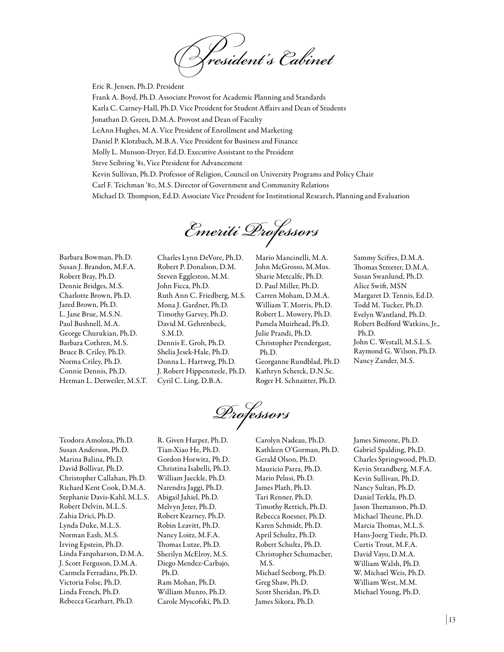*President's Cabinet*

Eric R. Jensen, Ph.D. President

Frank A. Boyd, Ph.D. Associate Provost for Academic Planning and Standards

Karla C. Carney-Hall, Ph.D. Vice President for Student Affairs and Dean of Students

Jonathan D. Green, D.M.A. Provost and Dean of Faculty

LeAnn Hughes, M.A. Vice President of Enrollment and Marketing

Daniel P. Klotzbach, M.B.A. Vice President for Business and Finance

Molly L. Munson-Dryer, Ed.D. Executive Assistant to the President

Steve Seibring '81, Vice President for Advancement

Kevin Sullivan, Ph.D. Professor of Religion, Council on University Programs and Policy Chair

Carl F. Teichman '80, M.S. Director of Government and Community Relations

Michael D. Thompson, Ed.D. Associate Vice President for Institutional Research, Planning and Evaluation

*Emeriti Professors*

*Professors*

Barbara Bowman, Ph.D. Susan J. Brandon, M.F.A. Robert Bray, Ph.D. Dennie Bridges, M.S. Charlotte Brown, Ph.D. Jared Brown, Ph.D. L. Jane Brue, M.S.N. Paul Bushnell, M.A. George Churukian, Ph.D. Barbara Cothren, M.S. Bruce B. Criley, Ph.D. Norma Criley, Ph.D. Connie Dennis, Ph.D. Herman L. Detweiler, M.S.T.

Charles Lynn DeVore, Ph.D. Robert P. Donalson, D.M. Steven Eggleston, M.M. John Ficca, Ph.D. Ruth Ann C. Friedberg, M.S. Mona J. Gardner, Ph.D. Timothy Garvey, Ph.D. David M. Gehrenbeck, S.M.D. Dennis E. Groh, Ph.D. Shelia Jesek-Hale, Ph.D. Donna L. Hartweg, Ph.D. J. Robert Hippensteele, Ph.D. Cyril C. Ling, D.B.A.

Mario Mancinelli, M.A. John McGrosso, M.Mus. Sharie Metcalfe, Ph.D. D. Paul Miller, Ph.D. Carren Moham, D.M.A. William T. Morris, Ph.D. Robert L. Mowery, Ph.D. Pamela Muirhead, Ph.D. Julie Prandi, Ph.D. Christopher Prendergast, Ph.D. Georganne Rundblad, Ph.D Kathryn Scherck, D.N.Sc. Roger H. Schnaitter, Ph.D.

Sammy Scifres, D.M.A. Thomas Streeter, D.M.A. Susan Swanlund, Ph.D. Alice Swift, MSN Margaret D. Tennis, Ed.D. Todd M. Tucker, Ph.D. Evelyn Wantland, Ph.D. Robert Bedford Watkins, Jr., Ph.D. John C. Westall, M.S.L.S. Raymond G. Wilson, Ph.D. Nancy Zander, M.S.

Teodora Amoloza, Ph.D. Susan Anderson, Ph.D. Marina Balina, Ph.D. David Bollivar, Ph.D. Christopher Callahan, Ph.D. Richard Kent Cook, D.M.A. Stephanie Davis-Kahl, M.L.S. Robert Delvin, M.L.S. Zahia Drici, Ph.D. Lynda Duke, M.L.S. Norman Eash, M.S. Irving Epstein, Ph.D. Linda Farquharson, D.M.A. J. Scott Ferguson, D.M.A. Carmela Ferradáns, Ph.D. Victoria Folse, Ph.D. Linda French, Ph.D. Rebecca Gearhart, Ph.D.

R. Given Harper, Ph.D. Tian-Xiao He, Ph.D. Gordon Horwitz, Ph.D. Christina Isabelli, Ph.D. William Jaeckle, Ph.D. Narendra Jaggi, Ph.D. Abigail Jahiel, Ph.D. Melvyn Jeter, Ph.D. Robert Kearney, Ph.D. Robin Leavitt, Ph.D. Nancy Loitz, M.F.A. Thomas Lutze, Ph.D. Sherilyn McElroy, M.S. Diego Mendez-Carbajo, Ph.D. Ram Mohan, Ph.D. William Munro, Ph.D. Carole Myscofski, Ph.D.

Carolyn Nadeau, Ph.D. Kathleen O'Gorman, Ph.D. Gerald Olson, Ph.D. Mauricio Parra, Ph.D. Mario Pelusi, Ph.D. James Plath, Ph.D. Tari Renner, Ph.D. Timothy Rettich, Ph.D. Rebecca Roesner, Ph.D. Karen Schmidt, Ph.D. April Schultz, Ph.D. Robert Schultz, Ph.D. Christopher Schumacher, M.S. Michael Seeborg, Ph.D. Greg Shaw, Ph.D. Scott Sheridan, Ph.D. James Sikora, Ph.D.

James Simeone, Ph.D. Gabriel Spalding, Ph.D. Charles Springwood, Ph.D. Kevin Strandberg, M.F.A. Kevin Sullivan, Ph.D. Nancy Sultan, Ph.D. Daniel Terkla, Ph.D. Jason Themanson, Ph.D. Michael Theune, Ph.D. Marcia Thomas, M.L.S. Hans-Joerg Tiede, Ph.D. Curtis Trout, M.F.A. David Vayo, D.M.A. William Walsh, Ph.D. W. Michael Weis, Ph.D. William West, M.M. Michael Young, Ph.D.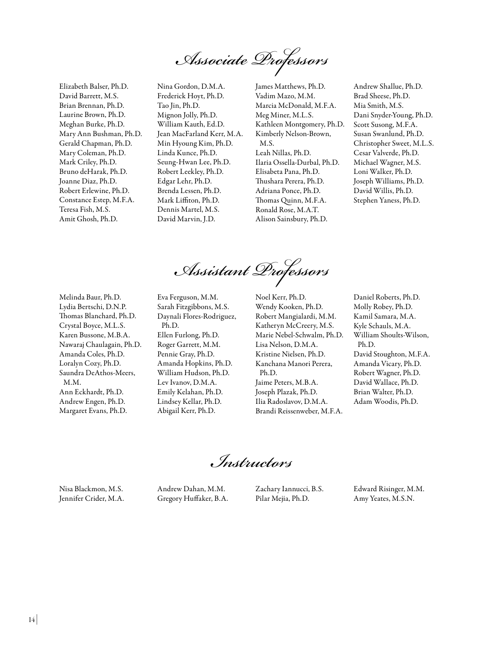*Associate Professors*

Elizabeth Balser, Ph.D. David Barrett, M.S. Brian Brennan, Ph.D. Laurine Brown, Ph.D. Meghan Burke, Ph.D. Mary Ann Bushman, Ph.D. Gerald Chapman, Ph.D. Mary Coleman, Ph.D. Mark Criley, Ph.D. Bruno deHarak, Ph.D. Joanne Diaz, Ph.D. Robert Erlewine, Ph.D. Constance Estep, M.F.A. Teresa Fish, M.S. Amit Ghosh, Ph.D.

Nina Gordon, D.M.A. Frederick Hoyt, Ph.D. Tao Jin, Ph.D. Mignon Jolly, Ph.D. William Kauth, Ed.D. Jean MacFarland Kerr, M.A. Min Hyoung Kim, Ph.D. Linda Kunce, Ph.D. Seung-Hwan Lee, Ph.D. Robert Leekley, Ph.D. Edgar Lehr, Ph.D. Brenda Lessen, Ph.D. Mark Liffiton, Ph.D. Dennis Martel, M.S. David Marvin, J.D.

James Matthews, Ph.D. Vadim Mazo, M.M. Marcia McDonald, M.F.A. Meg Miner, M.L.S. Kathleen Montgomery, Ph.D. Kimberly Nelson-Brown, M.S. Leah Nillas, Ph.D. Ilaria Ossella-Durbal, Ph.D. Elisabeta Pana, Ph.D. Thushara Perera, Ph.D. Adriana Ponce, Ph.D. Thomas Quinn, M.F.A. Ronald Rose, M.A.T. Alison Sainsbury, Ph.D.

Andrew Shallue, Ph.D. Brad Sheese, Ph.D. Mia Smith, M.S. Dani Snyder-Young, Ph.D. Scott Susong, M.F.A. Susan Swanlund, Ph.D. Christopher Sweet, M.L.S. Cesar Valverde, Ph.D. Michael Wagner, M.S. Loni Walker, Ph.D. Joseph Williams, Ph.D. David Willis, Ph.D. Stephen Yaness, Ph.D.

*Assistant Professors*

Melinda Baur, Ph.D. Lydia Bertschi, D.N.P. Thomas Blanchard, Ph.D. Crystal Boyce, M.L.S. Karen Bussone, M.B.A. Nawaraj Chaulagain, Ph.D. Amanda Coles, Ph.D. Loralyn Cozy, Ph.D. Saundra DeAthos-Meers, M.M. Ann Eckhardt, Ph.D. Andrew Engen, Ph.D. Margaret Evans, Ph.D.

Eva Ferguson, M.M. Sarah Fitzgibbons, M.S. Daynali Flores-Rodriguez, Ph.D. Ellen Furlong, Ph.D. Roger Garrett, M.M. Pennie Gray, Ph.D. Amanda Hopkins, Ph.D. William Hudson, Ph.D. Lev Ivanov, D.M.A. Emily Kelahan, Ph.D. Lindsey Kellar, Ph.D. Abigail Kerr, Ph.D.

Noel Kerr, Ph.D. Wendy Kooken, Ph.D. Robert Mangialardi, M.M. Katheryn McCreery, M.S. Marie Nebel-Schwalm, Ph.D. Lisa Nelson, D.M.A. Kristine Nielsen, Ph.D. Kanchana Manori Perera, Ph.D. Jaime Peters, M.B.A. Joseph Plazak, Ph.D. Ilia Radoslavov, D.M.A. Brandi Reissenweber, M.F.A.

Daniel Roberts, Ph.D. Molly Robey, Ph.D. Kamil Samara, M.A. Kyle Schauls, M.A. William Shoults-Wilson, Ph.D. David Stoughton, M.F.A. Amanda Vicary, Ph.D. Robert Wagner, Ph.D. David Wallace, Ph.D. Brian Walter, Ph.D. Adam Woodis, Ph.D.

*Instructors*

Nisa Blackmon, M.S. Jennifer Crider, M.A.

Andrew Dahan, M.M. Gregory Huffaker, B.A. Zachary Iannucci, B.S. Pilar Mejia, Ph.D.

Edward Risinger, M.M. Amy Yeates, M.S.N.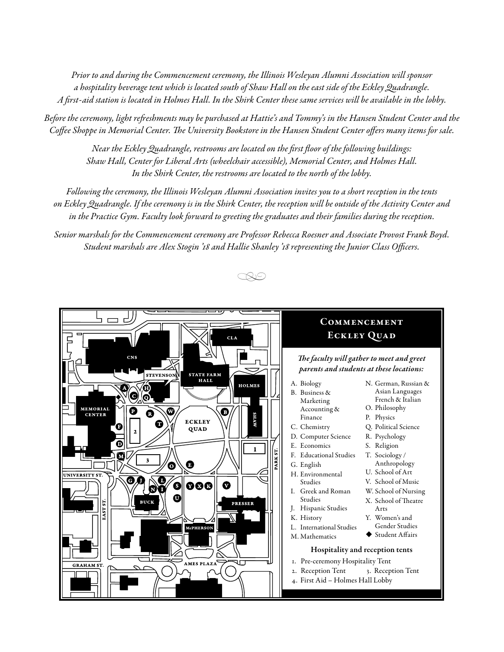*Prior to and during the Commencement ceremony, the Illinois Wesleyan Alumni Association will sponsor a hospitality beverage tent which is located south of Shaw Hall on the east side of the Eckley Quadrangle. A first-aid station is located in Holmes Hall. In the Shirk Center these same services will be available in the lobby.*

*Before the ceremony, light refreshments may be purchased at Hattie's and Tommy's in the Hansen Student Center and the Coffee Shoppe in Memorial Center. The University Bookstore in the Hansen Student Center offers many items for sale.*

> *Near the Eckley Quadrangle, restrooms are located on the first floor of the following buildings: Shaw Hall, Center for Liberal Arts (wheelchair accessible), Memorial Center, and Holmes Hall. In the Shirk Center, the restrooms are located to the north of the lobby.*

*Following the ceremony, the Illinois Wesleyan Alumni Association invites you to a short reception in the tents on Eckley Quadrangle. If the ceremony is in the Shirk Center, the reception will be outside of the Activity Center and in the Practice Gym. Faculty look forward to greeting the graduates and their families during the reception.* 

*Senior marshals for the Commencement ceremony are Professor Rebecca Roesner and Associate Provost Frank Boyd. Student marshals are Alex Stogin '18 and Hallie Shanley '18 representing the Junior Class Officers.*

*•*